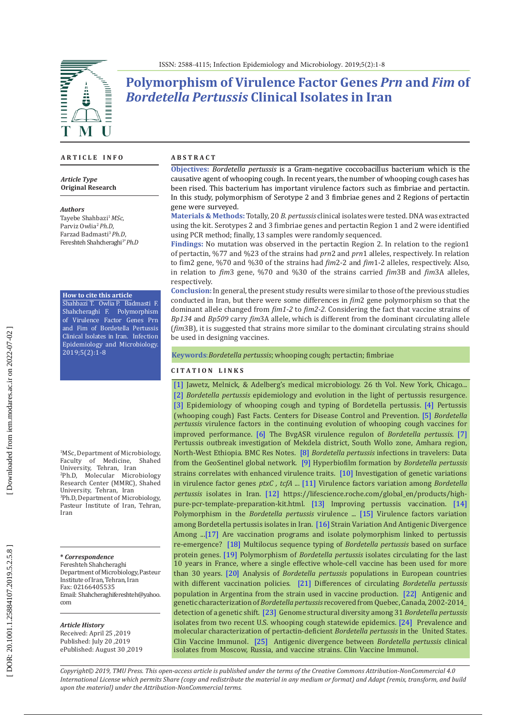ISSN: 2588-4115; Infection Epidemiology and Microbiology. 2019;5(2):1-8

# **Polymorphism of Virulence Factor Genes** *Prn* **and** *Fim* **of**  *Bordetella Pertussis* **Clinical Isolates in Iran**

### **A R T I C L E I N F O**

*Article Type* **Original Research**

#### *Authors*

Tayebe Shahbazi <sup>1</sup>*MSc*, Parviz Owlia <sup>2</sup>*Ph.D*, Farzad Badmasti <sup>3</sup>*Ph.D*, Fereshteh Shahcheraghi 3\* *Ph.D*

#### **How to cite this article**

Shahbazi T. Owlia P. Badmasti F. Shahcheraghi F. Polymorphism of Virulence Factor Genes Prn and Fim of Bordetella Pertussis Clinical Isolates in Iran. Infection Epidemiology and Microbiology. 2019;5(2):1-8

1 MSc, Department of Microbiology, Faculty of Medicine, Shahed University, Tehran, Iran <sup>2</sup> <sup>2</sup>Ph.D, Molecular Microbiology Research Center (MMRC), Shahed<br>University, Tehran, Iran University, Tehran, Iran<br><sup>3</sup>Ph.D, Department of Microbiology, Pasteur Institute of Iran, Tehran, Iran

**\*** *Correspondence* Fereshteh Shahcheraghi Department of Microbiology, Pasteur Institute of Iran, Tehran, Iran Fax: 02166405535 Email: Shahcheraghifereshteh@yahoo. com

### *Article History*

Received: April 25 ,2019 Published: July 20 ,2019 ePublished: August 30 ,2019

#### **A B S T R A C T**

**Objectives:** *Bordetella pertussis* is a Gram-negative coccobacillus bacterium which is the causative agent of whooping cough. In recent years, the number of whooping cough cases has been rised. This bacterium has important virulence factors such as fimbriae and pertactin. In this study, polymorphism of Serotype 2 and 3 fimbriae genes and 2 Regions of pertactin gene were surveyed.

**Materials & Methods:** Totally, 20 *B. pertussis* clinical isolates were tested. DNA was extracted using the kit. Serotypes 2 and 3 fimbriae genes and pertactin Region 1 and 2 were identified using PCR method; finally, 13 samples were randomly sequenced.

**Findings:** No mutation was observed in the pertactin Region 2. In relation to the region 1 of pertactin, %77 and %23 of the strains had *prn* 2 and *prn* 1 alleles, respectively. In relation to fim2 gene, %70 and %30 of the strains had *fim2-2* and *fim1-2* alleles, respectively. Also, in relation to *fim* 3 gene, %70 and %30 of the strains carried *fim* 3B and *fim* 3A alleles, respectively.

**Conclusion:** In general, the present study results were similar to those of the previous studies conducted in Iran, but there were some differences in *fim* 2 gene polymorphism so that the dominant allele changed from *fim 1 - 2* to *fim 2 - 2 .* Considering the fact that vaccine strains of *Bp134* and *Bp509* carry *fim* 3A allele, which is different from the dominant circulating allele (*fim* 3B), it is suggested that strains more similar to the dominant circulating strains should be used in designing vaccines.

**Keywords** :*Bordetella pertussis*; whooping cough; pertactin; fimbriae

### **C I T A T I O N L I N K S**

[\[1\]](https://scholar.google.com/scholar?cluster=11781066685608785529&hl=en&as_sdt=2005&sciodt=0,5) Jawetz, Melnick, & Adelberg's medical microbiology. 26 th Vol. New York, Chicago... [\[2\]](https://www.sciencedirect.com/science/article/pii/S1567134816300636) *Bordetella pertussis* epidemiology and evolution in the light of pertussis resurgence. [\[3\]](Epidemiology of whooping cough and typing of Bordetella pertussis.) Epidemiology of whooping cough and typing of Bordetella pertussis. [\[4\]](https://www.cdc.gov/pertussis/fast-facts.html) Pertussis (whooping cough) Fast Facts. Centers for Disease Control and Prevention. [\[5\]](https://link.springer.com/article/10.1007/s00430-017-0524-z) *Bordetella pertussis* virulence factors in the continuing evolution of whooping cough vaccines for improved performance[. \[6\]](https://www.sciencedirect.com/science/article/pii/S1369527418301267) The BvgASR virulence regulon of *Bordetella pertussis*. [\[7\]](https://www.ncbi.nlm.nih.gov/pmc/articles/PMC5568300/) Pertussis outbreak investigation of Mekdela district, South Wollo zone, Amhara region, North-West Ethiopia. BMC Res Notes. [\[8\]](https://www.ncbi.nlm.nih.gov/pubmed/28355615) *Bordetella pertussis* infections in travelers: Data from the GeoSentinel global network. [\[9\]](https://www.ncbi.nlm.nih.gov/pubmed/28893915) Hyperbiofilm formation by *Bordetella pertussis* strains correlates with enhanced virulence traits. [\[10\]](https://www.researchgate.net/publication/329341600_Investigation_of_Genetic_Variations_in_Virulence_Factor_Genes_ptxC_tcfA_and_fhaB_of_Bordetella_pertussis_Clinical_Isolates_and_Vaccine_Strains_in_Iran) Investigation of genetic variations in virulence factor genes *ptxC , tcfA* ... [\[11\]](http://ijmcmed.org/browse.php?a_code=A-10-363-1&sid=1&slc_lang=en) Virulence factors variation among *Bordetella pertussis* isolates in Iran. [\[12\] h](https://lifescience.roche.com/global_en/brands/high-pure.html)ttps://lifescience.roche.com/global\_en/products/highpure-pcr-template-preparation-kit.html. [\[13\] I](https://www.ncbi.nlm.nih.gov/pubmed/19242096)mproving pertussis vaccination. [\[14\]](https://www.ncbi.nlm.nih.gov/pubmed/9453625)  Polymorphism in the *Bordetella pertussis* virulence ... [\[15\]](https://www.ncbi.nlm.nih.gov/pmc/articles/PMC4499576/) Virulence factors variation among Bordetella pertussis isolates in Iran. [\[16\]](https://www.ncbi.nlm.nih.gov/pubmed/30094521/) Strain Variation And Antigenic Divergence Among ...[\[17\] A](https://www.ncbi.nlm.nih.gov/pubmed/16221076)re vaccination programs and isolate polymorphism linked to pertussis re-emergence? [\[18\]](https://www.ncbi.nlm.nih.gov/pubmed/12037054) Multilocus sequence typing of *Bordetella pertussis* based on surface protein genes. [\[19\]](https://www.ncbi.nlm.nih.gov/pubmed/11724851) Polymorphism of *Bordetella pertussis* isolates circulating for the last 10 years in France, where a single effective whole-cell vaccine has been used for more than 30 years. [\[20\]](https://jcm.asm.org/content/43/6/2837) Analysis of *Bordetella pertussis* populations in European countries with different vaccination policies. [\[21\]](https://www.ncbi.nlm.nih.gov/pubmed/16545509) Differences of circulating *Bordetella pertussis* population in Argentina from the strain used in vaccine production. [\[22\]](https://www.ncbi.nlm.nih.gov/pubmed/26910633) Antigenic and genetic characterization of *Bordetella pertussis* recovered from Quebec, Canada, 2002-2014\_ detection of a genetic shift. [\[23\]](https://msphere.asm.org/content/1/3/e00036-16) Genome structural diversity among 31 *Bordetella pertussis* isolates from two recent U.S. whooping cough statewide epidemics. [\[24\]](https://www.ncbi.nlm.nih.gov/pubmed/24256623) Prevalence and molecular characterization of pertactin-deficient *Bordetella pertussis* in the United States. Clin Vaccine Immunol. [\[25\]](https://www.ncbi.nlm.nih.gov/pmc/articles/PMC1828859/) Antigenic divergence between *Bordetella pertussis* clinical isolates from Moscow, Russia, and vaccine strains. Clin Vaccine Immunol.

*Copyright© 2019, TMU Press. This open-access article is published under the terms of the Creative Commons Attribution-NonCommercial 4.0 International License which permits Share (copy and redistribute the material in any medium or format) and Adapt (remix, transform, and build upon the material) under the Attribution-NonCommercial terms.*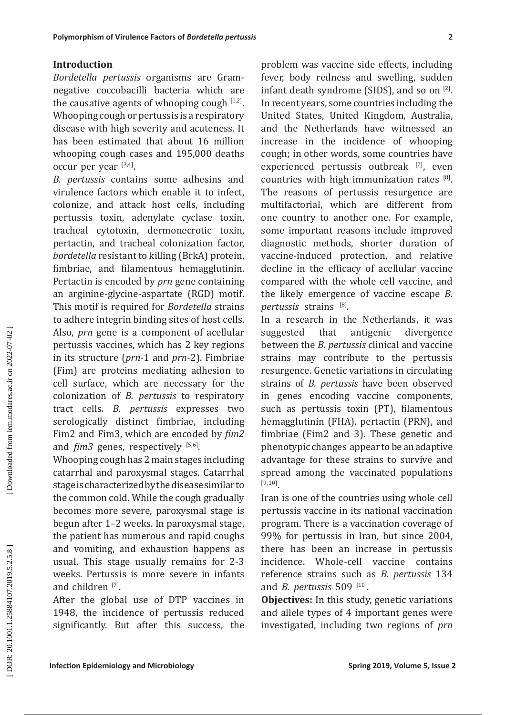# **Introduction**

*Bordetella pertussis* organisms are Gramnegative coccobacilli bacteria which are the causative agents of whooping cough  $[1,2]$ . Whooping cough or pertussis is a respiratory disease with high severity and acuteness. It has been estimated that about 16 million whooping cough cases and 195,000 deaths occur per year [3,4].

**Exherentian d'Vindenes Factors of Bordetiffe permain**<br> **Introduction**<br> **Infection Transform and Transform and Transform and Syrical Syrical Syrical Syrical Syrical Syrical Syrical Syrical Syrical Syrical Syrical Syrical S** *B. pertussis* contains some adhesins and virulence factors which enable it to infect, colonize, and attack host cells, including pertussis toxin, adenylate cyclase toxin, tracheal cytotoxin, dermonecrotic toxin, pertactin, and tracheal colonization factor, *bordetella* resistant to killing (BrkA) protein, fimbriae, and filamentous hemagglutinin. Pertactin is encoded by *prn* gene containing an arginine-glycine-aspartate (RGD) motif. This motif is required for *Bordetella* strains to adhere integrin binding sites of host cells. Also, *prn* gene is a component of acellular pertussis vaccines, which has 2 key regions in its structure (*prn*-1 and *prn*-2). Fimbriae (Fim) are proteins mediating adhesion to cell surface, which are necessary for the colonization of *B. pertussis* to respiratory tract cells. *B. pertussis* expresses two serologically distinct fimbriae, including Fim2 and Fim3, which are encoded by *fim2* and *fim3* genes, respectively [5,6].

Whooping cough has 2 main stages including catarrhal and paroxysmal stages. Catarrhal stage is characterized by the disease similar to the common cold. While the cough gradually becomes more severe, paroxysmal stage is begun after 1–2 weeks. In paroxysmal stage, the patient has numerous and rapid coughs and vomiting, and exhaustion happens as usual. This stage usually remains for 2-3 weeks. Pertussis is more severe in infants and children <sup>[7]</sup>.

After the global use of DTP vaccines in 1948, the incidence of pertussis reduced significantly. But after this success, the problem was vaccine side effects, including fever, body redness and swelling, sudden infant death syndrome (SIDS), and so on [2]. In recent years, some countries including the United States, United Kingdom, Australia, and the Netherlands have witnessed an increase in the incidence of whooping cough; in other words, some countries have experienced pertussis outbreak [2], even countries with high immunization rates  $[8]$ . The reasons of pertussis resurgence are multifactorial, which are different from one country to another one. For example, some important reasons include improved diagnostic methods, shorter duration of vaccine-induced protection, and relative decline in the efficacy of acellular vaccine compared with the whole cell vaccine, and the likely emergence of vaccine escape *B. pertussis* strains [8] .

In a research in the Netherlands, it was<br>suggested that antigenic divergence suggested that antigenic divergence between the *B. pertussis* clinical and vaccine strains may contribute to the pertussis resurgence. Genetic variations in circulating strains of *B. pertussis* have been observed in genes encoding vaccine components, such as pertussis toxin (PT), filamentous hemagglutinin (FHA), pertactin (PRN), and fimbriae (Fim2 and 3). These genetic and phenotypic changes appear to be an adaptive advantage for these strains to survive and spread among the vaccinated populations [9,10].

Iran is one of the countries using whole cell pertussis vaccine in its national vaccination program. There is a vaccination coverage of 99% for pertussis in Iran, but since 2004, there has been an increase in pertussis incidence. Whole-cell vaccine contains reference strains such as *B. pertussis* 134 and *B. pertussis* 509<sup>[10]</sup>.

**Objectives:** In this study, genetic variations and allele types of 4 important genes were investigated, including two regions of *prn*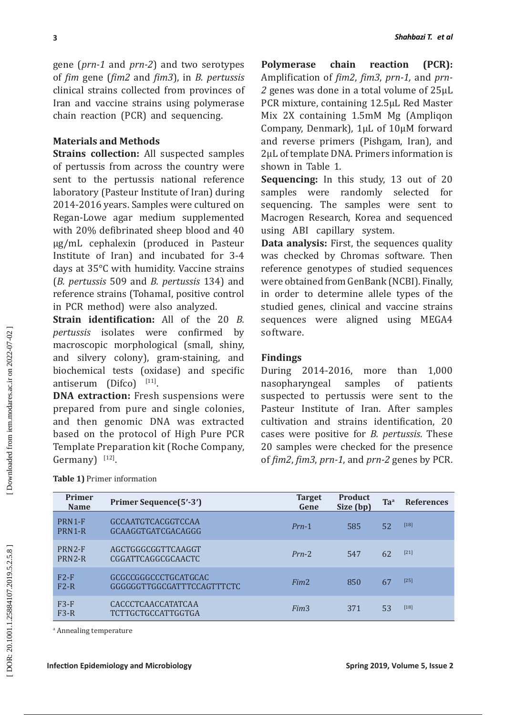# **Materials and Methods**

# **Findings**

| 3                                  |                                                                                                                                                                                                                                                                                                                                                                                                                                                                                                                                                                                                                                                                                                                                                                                                                                                                                                                                                                                                                                                                                                                                                                                                                                                                                                                                                                                                    |                                                                                                                                                                                                                                                                                                                                                                                                                                                                                                                                                                                                                                                                                                                                                                                                                                                                                                                                                                                                                                                                                                                                                                                                                                                                                                                                               |                             |                 | Shahbazi T. et al              |  |
|------------------------------------|----------------------------------------------------------------------------------------------------------------------------------------------------------------------------------------------------------------------------------------------------------------------------------------------------------------------------------------------------------------------------------------------------------------------------------------------------------------------------------------------------------------------------------------------------------------------------------------------------------------------------------------------------------------------------------------------------------------------------------------------------------------------------------------------------------------------------------------------------------------------------------------------------------------------------------------------------------------------------------------------------------------------------------------------------------------------------------------------------------------------------------------------------------------------------------------------------------------------------------------------------------------------------------------------------------------------------------------------------------------------------------------------------|-----------------------------------------------------------------------------------------------------------------------------------------------------------------------------------------------------------------------------------------------------------------------------------------------------------------------------------------------------------------------------------------------------------------------------------------------------------------------------------------------------------------------------------------------------------------------------------------------------------------------------------------------------------------------------------------------------------------------------------------------------------------------------------------------------------------------------------------------------------------------------------------------------------------------------------------------------------------------------------------------------------------------------------------------------------------------------------------------------------------------------------------------------------------------------------------------------------------------------------------------------------------------------------------------------------------------------------------------|-----------------------------|-----------------|--------------------------------|--|
| Germany) [12].                     | gene ( <i>prn-1</i> and <i>prn-2</i> ) and two serotypes<br>of fim gene (fim2 and fim3), in B. pertussis<br>clinical strains collected from provinces of<br>Iran and vaccine strains using polymerase<br>chain reaction (PCR) and sequencing.<br><b>Materials and Methods</b><br><b>Strains collection:</b> All suspected samples<br>of pertussis from across the country were<br>sent to the pertussis national reference<br>laboratory (Pasteur Institute of Iran) during<br>2014-2016 years. Samples were cultured on<br>Regan-Lowe agar medium supplemented<br>with 20% defibrinated sheep blood and 40<br>µg/mL cephalexin (produced in Pasteur<br>Institute of Iran) and incubated for 3-4<br>days at 35°C with humidity. Vaccine strains<br>(B. pertussis 509 and B. pertussis 134) and<br>reference strains (Tohamal, positive control<br>in PCR method) were also analyzed.<br>Strain identification: All of the 20 B.<br><i>pertussis</i> isolates were<br>confirmed<br>by<br>macroscopic morphological (small, shiny,<br>and silvery colony), gram-staining, and<br>biochemical tests (oxidase) and specific<br>antiserum (Difco) [11].<br>DNA extraction: Fresh suspensions were<br>prepared from pure and single colonies,<br>and then genomic DNA was extracted<br>based on the protocol of High Pure PCR<br>Template Preparation kit (Roche Company,<br>Table 1) Primer information | chain<br>$(PCR)$ :<br><b>Polymerase</b><br>reaction<br>Amplification of fim2, fim3, prn-1, and prn-<br>2 genes was done in a total volume of 25µL<br>PCR mixture, containing 12.5µL Red Master<br>Mix 2X containing 1.5mM Mg (Ampliqon<br>Company, Denmark), 1µL of 10µM forward<br>and reverse primers (Pishgam, Iran), and<br>2µL of template DNA. Primers information is<br>shown in Table 1.<br>Sequencing: In this study, 13 out of 20<br>samples were randomly selected<br>for<br>sequencing. The samples were sent to<br>Macrogen Research, Korea and sequenced<br>using ABI capillary system.<br>Data analysis: First, the sequences quality<br>was checked by Chromas software. Then<br>reference genotypes of studied sequences<br>were obtained from GenBank (NCBI). Finally,<br>in order to determine allele types of the<br>studied genes, clinical and vaccine strains<br>sequences were aligned using MEGA4<br>software.<br><b>Findings</b><br>During 2014-2016, more<br>1,000<br>than<br>nasopharyngeal<br>samples<br>of<br>patients<br>suspected to pertussis were sent to the<br>Pasteur Institute of Iran. After samples<br>cultivation and strains identification, 20<br>cases were positive for <i>B. pertussis</i> . These<br>20 samples were checked for the presence<br>of fim2, fim3, prn-1, and prn-2 genes by PCR. |                             |                 |                                |  |
| Primer<br><b>Name</b>              | <b>Primer Sequence(5'-3')</b>                                                                                                                                                                                                                                                                                                                                                                                                                                                                                                                                                                                                                                                                                                                                                                                                                                                                                                                                                                                                                                                                                                                                                                                                                                                                                                                                                                      | <b>Target</b><br>Gene                                                                                                                                                                                                                                                                                                                                                                                                                                                                                                                                                                                                                                                                                                                                                                                                                                                                                                                                                                                                                                                                                                                                                                                                                                                                                                                         | <b>Product</b><br>Size (bp) | Ta <sup>a</sup> | <b>References</b>              |  |
| PRN1-F<br>PRN1-R                   | GCCAATGTCACGGTCCAA<br>GCAAGGTGATCGACAGGG                                                                                                                                                                                                                                                                                                                                                                                                                                                                                                                                                                                                                                                                                                                                                                                                                                                                                                                                                                                                                                                                                                                                                                                                                                                                                                                                                           | $Prn-1$                                                                                                                                                                                                                                                                                                                                                                                                                                                                                                                                                                                                                                                                                                                                                                                                                                                                                                                                                                                                                                                                                                                                                                                                                                                                                                                                       | 585                         | 52              | $[18]$                         |  |
| PRN2-F<br>PRN2-R                   | AGCTGGGCGGTTCAAGGT<br>CGGATTCAGGCGCAACTC                                                                                                                                                                                                                                                                                                                                                                                                                                                                                                                                                                                                                                                                                                                                                                                                                                                                                                                                                                                                                                                                                                                                                                                                                                                                                                                                                           | $Prn-2$                                                                                                                                                                                                                                                                                                                                                                                                                                                                                                                                                                                                                                                                                                                                                                                                                                                                                                                                                                                                                                                                                                                                                                                                                                                                                                                                       | 547                         | 62              | $[21]$                         |  |
| $F2-F$<br>$F2-R$                   | GCGCCGGGCCCTGCATGCAC<br>GGGGGGTTGGCGATTTCCAGTTTCTC                                                                                                                                                                                                                                                                                                                                                                                                                                                                                                                                                                                                                                                                                                                                                                                                                                                                                                                                                                                                                                                                                                                                                                                                                                                                                                                                                 | Fim <sub>2</sub>                                                                                                                                                                                                                                                                                                                                                                                                                                                                                                                                                                                                                                                                                                                                                                                                                                                                                                                                                                                                                                                                                                                                                                                                                                                                                                                              | 850                         | 67              | $[25]$                         |  |
| $F3-F$<br>$F3-R$                   | CACCCTCAACCATATCAA<br>TCTTGCTGCCATTGGTGA                                                                                                                                                                                                                                                                                                                                                                                                                                                                                                                                                                                                                                                                                                                                                                                                                                                                                                                                                                                                                                                                                                                                                                                                                                                                                                                                                           | Fim <sub>3</sub>                                                                                                                                                                                                                                                                                                                                                                                                                                                                                                                                                                                                                                                                                                                                                                                                                                                                                                                                                                                                                                                                                                                                                                                                                                                                                                                              | 371                         | 53              | $[18]$                         |  |
| <sup>a</sup> Annealing temperature | <b>Infection Epidemiology and Microbiology</b>                                                                                                                                                                                                                                                                                                                                                                                                                                                                                                                                                                                                                                                                                                                                                                                                                                                                                                                                                                                                                                                                                                                                                                                                                                                                                                                                                     |                                                                                                                                                                                                                                                                                                                                                                                                                                                                                                                                                                                                                                                                                                                                                                                                                                                                                                                                                                                                                                                                                                                                                                                                                                                                                                                                               |                             |                 | Spring 2019, Volume 5, Issue 2 |  |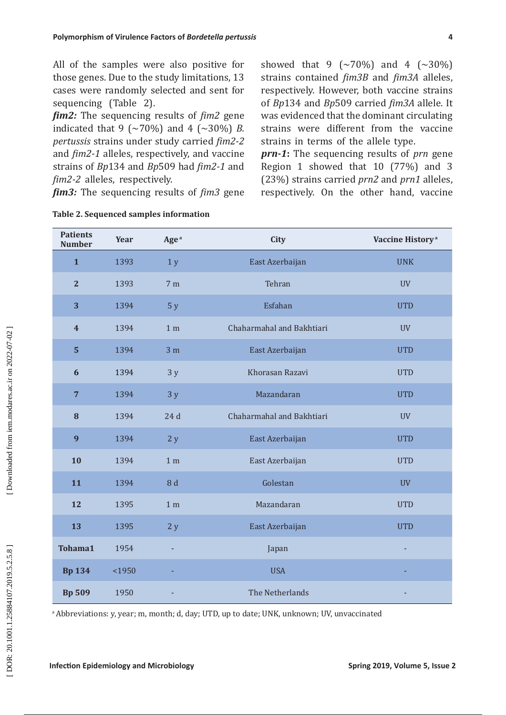| Polymorphism of Virulence Factors of Bordetella pertussis<br>4 |        |                                                                                                                                                                                                                                                                                                                                                                                                                                                                                                  |                                                                                             |                                                                                                                                                                                                                                                                                                                                                                                                                                                                       |  |  |  |
|----------------------------------------------------------------|--------|--------------------------------------------------------------------------------------------------------------------------------------------------------------------------------------------------------------------------------------------------------------------------------------------------------------------------------------------------------------------------------------------------------------------------------------------------------------------------------------------------|---------------------------------------------------------------------------------------------|-----------------------------------------------------------------------------------------------------------------------------------------------------------------------------------------------------------------------------------------------------------------------------------------------------------------------------------------------------------------------------------------------------------------------------------------------------------------------|--|--|--|
| sequencing (Table 2).<br>fim2-2 alleles, respectively.         |        | All of the samples were also positive for<br>those genes. Due to the study limitations, 13<br>cases were randomly selected and sent for<br><i>fim2:</i> The sequencing results of <i>fim2</i> gene<br>indicated that 9 ( $\sim$ 70%) and 4 ( $\sim$ 30%) B.<br>pertussis strains under study carried fim2-2<br>and fim2-1 alleles, respectively, and vaccine<br>strains of Bp134 and Bp509 had fim2-1 and<br>fim3: The sequencing results of fim3 gene<br>Table 2. Sequenced samples information | strains in terms of the allele type.                                                        | showed that 9 ( $\sim$ 70%) and 4 ( $\sim$ 30%)<br>strains contained fim3B and fim3A alleles,<br>respectively. However, both vaccine strains<br>of Bp134 and Bp509 carried fim3A allele. It<br>was evidenced that the dominant circulating<br>strains were different from the vaccine<br>prn-1: The sequencing results of prn gene<br>Region 1 showed that 10 (77%) and 3<br>(23%) strains carried prn2 and prn1 alleles,<br>respectively. On the other hand, vaccine |  |  |  |
| <b>Patients</b><br><b>Number</b>                               | Year   | Age <sup>a</sup>                                                                                                                                                                                                                                                                                                                                                                                                                                                                                 | City                                                                                        | Vaccine History <sup>a</sup>                                                                                                                                                                                                                                                                                                                                                                                                                                          |  |  |  |
| $\mathbf{1}$                                                   | 1393   | 1 y                                                                                                                                                                                                                                                                                                                                                                                                                                                                                              | East Azerbaijan                                                                             | <b>UNK</b>                                                                                                                                                                                                                                                                                                                                                                                                                                                            |  |  |  |
| $\overline{2}$                                                 | 1393   | 7 <sub>m</sub>                                                                                                                                                                                                                                                                                                                                                                                                                                                                                   | Tehran                                                                                      | <b>UV</b>                                                                                                                                                                                                                                                                                                                                                                                                                                                             |  |  |  |
| 3                                                              | 1394   | 5y                                                                                                                                                                                                                                                                                                                                                                                                                                                                                               | Esfahan                                                                                     | <b>UTD</b>                                                                                                                                                                                                                                                                                                                                                                                                                                                            |  |  |  |
| $\overline{\mathbf{4}}$                                        | 1394   | 1 <sub>m</sub>                                                                                                                                                                                                                                                                                                                                                                                                                                                                                   | Chaharmahal and Bakhtiari                                                                   | <b>UV</b>                                                                                                                                                                                                                                                                                                                                                                                                                                                             |  |  |  |
| 5                                                              | 1394   | 3 <sub>m</sub>                                                                                                                                                                                                                                                                                                                                                                                                                                                                                   | East Azerbaijan                                                                             | <b>UTD</b>                                                                                                                                                                                                                                                                                                                                                                                                                                                            |  |  |  |
| 6                                                              | 1394   | 3y                                                                                                                                                                                                                                                                                                                                                                                                                                                                                               | Khorasan Razavi                                                                             | <b>UTD</b>                                                                                                                                                                                                                                                                                                                                                                                                                                                            |  |  |  |
| $\overline{7}$                                                 | 1394   | 3y                                                                                                                                                                                                                                                                                                                                                                                                                                                                                               | Mazandaran                                                                                  | <b>UTD</b>                                                                                                                                                                                                                                                                                                                                                                                                                                                            |  |  |  |
| 8                                                              | 1394   | 24d                                                                                                                                                                                                                                                                                                                                                                                                                                                                                              | Chaharmahal and Bakhtiari                                                                   | <b>UV</b>                                                                                                                                                                                                                                                                                                                                                                                                                                                             |  |  |  |
| 9                                                              | 1394   | 2y                                                                                                                                                                                                                                                                                                                                                                                                                                                                                               | East Azerbaijan                                                                             | <b>UTD</b>                                                                                                                                                                                                                                                                                                                                                                                                                                                            |  |  |  |
| 10                                                             | 1394   | 1 <sub>m</sub>                                                                                                                                                                                                                                                                                                                                                                                                                                                                                   | East Azerbaijan                                                                             | <b>UTD</b>                                                                                                                                                                                                                                                                                                                                                                                                                                                            |  |  |  |
| 11                                                             | 1394   | 8 d                                                                                                                                                                                                                                                                                                                                                                                                                                                                                              | Golestan                                                                                    | <b>UV</b>                                                                                                                                                                                                                                                                                                                                                                                                                                                             |  |  |  |
| 12                                                             | 1395   | 1 <sub>m</sub>                                                                                                                                                                                                                                                                                                                                                                                                                                                                                   | Mazandaran                                                                                  | <b>UTD</b>                                                                                                                                                                                                                                                                                                                                                                                                                                                            |  |  |  |
| 13                                                             | 1395   | 2y                                                                                                                                                                                                                                                                                                                                                                                                                                                                                               | East Azerbaijan                                                                             | <b>UTD</b>                                                                                                                                                                                                                                                                                                                                                                                                                                                            |  |  |  |
| Tohama1                                                        | 1954   |                                                                                                                                                                                                                                                                                                                                                                                                                                                                                                  | Japan                                                                                       |                                                                                                                                                                                                                                                                                                                                                                                                                                                                       |  |  |  |
| <b>Bp 134</b>                                                  | $1950$ |                                                                                                                                                                                                                                                                                                                                                                                                                                                                                                  | <b>USA</b>                                                                                  |                                                                                                                                                                                                                                                                                                                                                                                                                                                                       |  |  |  |
| <b>Bp 509</b>                                                  | 1950   |                                                                                                                                                                                                                                                                                                                                                                                                                                                                                                  | The Netherlands                                                                             |                                                                                                                                                                                                                                                                                                                                                                                                                                                                       |  |  |  |
|                                                                |        |                                                                                                                                                                                                                                                                                                                                                                                                                                                                                                  | a Abbreviations: y, year; m, month; d, day; UTD, up to date; UNK, unknown; UV, unvaccinated |                                                                                                                                                                                                                                                                                                                                                                                                                                                                       |  |  |  |
| <b>Infection Epidemiology and Microbiology</b>                 |        |                                                                                                                                                                                                                                                                                                                                                                                                                                                                                                  |                                                                                             | Spring 2019, Volume 5, Issue 2                                                                                                                                                                                                                                                                                                                                                                                                                                        |  |  |  |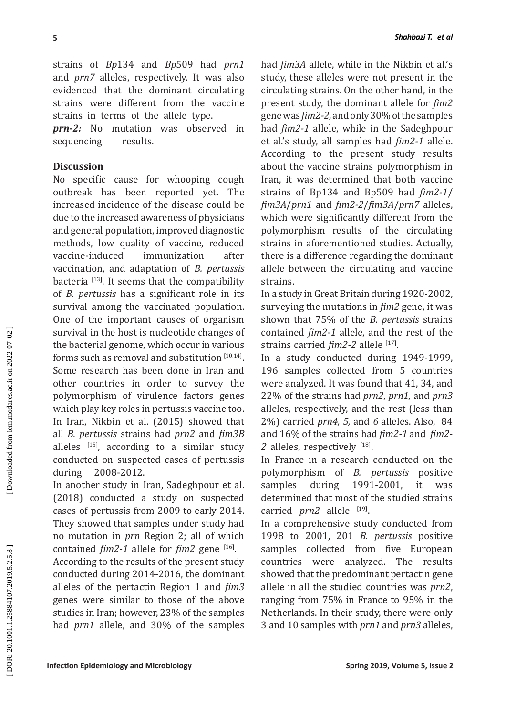strains of *Bp*134 and *Bp*509 had *prn1* and *prn7* alleles, respectively. It was also evidenced that the dominant circulating strains were different from the vaccine strains in terms of the allele type.

*prn-2:* No mutation was observed in sequencing results.

# **Discussion**

**Interior Applish the state of the state of the state of the state of the state of the state of the state of the state of the state of the state of the state of the state of the state of the state of the state of the stat** No specific cause for whooping cough outbreak has been reported yet. The increased incidence of the disease could be due to the increased awareness of physicians and general population, improved diagnostic methods, low quality of vaccine, reduced<br>vaccine-induced immunization after vaccine-induced immunization after vaccination, and adaptation of *B. pertussis* bacteria  $[13]$ . It seems that the compatibility of *B. pertussis* has a significant role in its survival among the vaccinated population. One of the important causes of organism survival in the host is nucleotide changes of the bacterial genome, which occur in various forms such as removal and substitution  $[10,14]$ . Some research has been done in Iran and other countries in order to survey the polymorphism of virulence factors genes which play key roles in pertussis vaccine too. In Iran, Nikbin et al. (2015) showed that all *B. pertussis* strains had *prn2* and *fim3B* alleles  $[15]$ , according to a similar study conducted on suspected cases of pertussis during 2008-2012.

In another study in Iran, Sadeghpour et al. (2018) conducted a study on suspected cases of pertussis from 2009 to early 2014. They showed that samples under study had no mutation in *prn* Region 2; all of which contained  $\lim_{2}$ -1 allele for  $\lim_{n \to \infty} 2$  gene [16].

According to the results of the present study conducted during 2014-2016, the dominant alleles of the pertactin Region 1 and *fim3* genes were similar to those of the above studies in Iran; however, 23% of the samples had *prn1* allele, and 30% of the samples

had *fim3A* allele, while in the Nikbin et al.'s study, these alleles were not present in the circulating strains. On the other hand, in the present study, the dominant allele for *fim2* gene was *fim2-2,* and only 30% of the samples had *fim2-1* allele, while in the Sadeghpour et al.'s study, all samples had *fim2-1* allele. According to the present study results about the vaccine strains polymorphism in Iran, it was determined that both vaccine strains of Bp134 and Bp509 had *fim2-1* / *fim3A* /*prn1* and *fim2-2* /*fim3A* /*prn7* alleles, which were significantly different from the polymorphism results of the circulating strains in aforementioned studies. Actually, there is a difference regarding the dominant allele between the circulating and vaccine strains.

In a study in Great Britain during 1920-2002, surveying the mutations in *fim2* gene, it was shown that 75% of the *B. pertussis* strains contained *fim2-1* allele, and the rest of the strains carried *fim2-2* allele <sup>[17]</sup>.

In a study conducted during 1949-1999, 196 samples collected from 5 countries were analyzed. It was found that 41, 34, and 22% of the strains had *prn2*, *prn1,* and *prn3* alleles, respectively, and the rest (less than 2%) carried *prn4, 5,* and *6* alleles. Also, 84 and 16% of the strains had *fim2-1* and *fim2-* 2 alleles, respectively [18].

In France in a research conducted on the polymorphism of *B. pertussis* positive samples during 1991-2001, it was determined that most of the studied strains carried *prn2* allele <sup>[19]</sup>.

In a comprehensive study conducted from 1998 to 2001, 201 *B. pertussis* positive samples collected from five European countries were analyzed. The results showed that the predominant pertactin gene allele in all the studied countries was *prn2*, ranging from 75% in France to 95% in the Netherlands. In their study, there were only 3 and 10 samples with *prn1* and *prn3* alleles,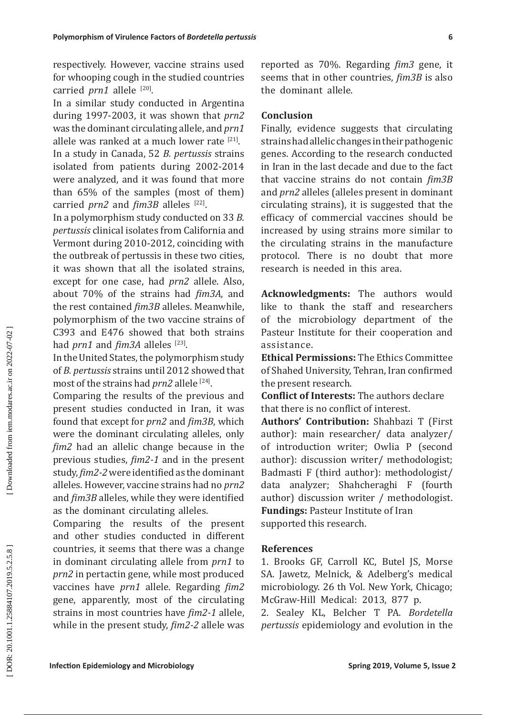respectively. However, vaccine strains used for whooping cough in the studied countries carried *prn1* allele <sup>[20]</sup>.

In a similar study conducted in Argentina during 1997-2003, it was shown that *prn2* was the dominant circulating allele, and *prn1* allele was ranked at a much lower rate  $[21]$ .

In a study in Canada, 52 *B. pertussis* strains isolated from patients during 2002-2014 were analyzed, and it was found that more than 65% of the samples (most of them) carried *prn2* and *fim3B* alleles [22].

In a polymorphism study conducted on 33 *B. pertussis* clinical isolates from California and Vermont during 2010-2012, coinciding with the outbreak of pertussis in these two cities, it was shown that all the isolated strains, except for one case, had *prn2* allele. Also, about 70% of the strains had *fim3A*, and the rest contained *fim3B* alleles. Meanwhile, polymorphism of the two vaccine strains of C393 and E476 showed that both strains had *prn1* and *fim3A* alleles <sup>[23]</sup>.

In the United States, the polymorphism study of *B. pertussis* strains until 2012 showed that most of the strains had *prn2* allele [24] .

Comparing the results of the previous and present studies conducted in Iran, it was found that except for *prn2* and *fim3B*, which were the dominant circulating alleles, only *fim2* had an allelic change because in the previous studies, *fim2-1* and in the present study, *fim2-2* were identified as the dominant alleles. However, vaccine strains had no *prn2* and *fim3B* alleles, while they were identified as the dominant circulating alleles.

Comparing the results of the present and other studies conducted in different countries, it seems that there was a change in dominant circulating allele from *prn1* to *prn2* in pertactin gene, while most produced vaccines have *prn1* allele. Regarding *fim2* gene, apparently, most of the circulating strains in most countries have *fim2-1* allele, while in the present study, *fim2-2* allele was

reported as 70%. Regarding *fim3* gene, it seems that in other countries, *fim3B* is also the dominant allele.

# **Conclusion**

**Expansion of Virtulence Factors of Broederin germais**<br> **IEvery vectoric control** and the contricts, for 2019, in the control and the control and the control and the control and Microbiology and Microbiology and Microbiolo Finally, evidence suggests that circulating strains had allelic changes in their pathogenic genes. According to the research conducted in Iran in the last decade and due to the fact that vaccine strains do not contain *fim3B* and *prn2* alleles (alleles present in dominant circulating strains), it is suggested that the efficacy of commercial vaccines should be increased by using strains more similar to the circulating strains in the manufacture protocol. There is no doubt that more research is needed in this area.

**Acknowledgments:** The authors would like to thank the staff and researchers of the microbiology department of the Pasteur Institute for their cooperation and assistance.

**Ethical Permissions:** The Ethics Committee of Shahed University, Tehran, Iran confirmed the present research.

**Conflict of Interests:** The authors declare that there is no conflict of interest.

**Authors' Contribution:** Shahbazi T (First author): main researcher/ data analyzer/ of introduction writer; Owlia P (second author): discussion writer/ methodologist; Badmasti F (third author): methodologist/ data analyzer; Shahcheraghi F (fourth author) discussion writer / methodologist. **Fundings:** Pasteur Institute of Iran

supported this research.

# **References**

1. Brooks GF, Carroll KC, Butel JS, Morse SA. Jawetz, Melnick, & Adelberg's medical microbiology. 26 th Vol. New York, Chicago; McGraw-Hill Medical: 2013, 877 p.

2. Sealey KL, Belcher T PA. *Bordetella pertussis* epidemiology and evolution in the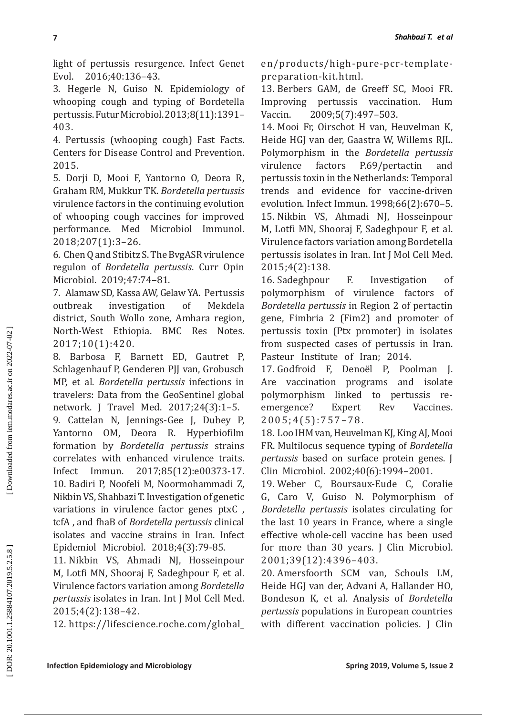3. Hegerle N, Guiso N. Epidemiology of whooping cough and typing of Bordetella pertussis. Futur Microbiol. 2013;8(11):1391– 403.

4. Pertussis (whooping cough) Fast Facts. Centers for Disease Control and Prevention. 2015.

5. Dorji D, Mooi F, Yantorno O, Deora R, Graham RM, Mukkur TK. *Bordetella pertussis* virulence factors in the continuing evolution of whooping cough vaccines for improved performance. Med Microbiol Immunol. 2018;207(1):3–26.

6. Chen Q and Stibitz S. The BvgASR virulence regulon of *Bordetella pertussis*. Curr Opin Microbiol. 2019;47:74–81.

7. Alamaw SD, Kassa AW, Gelaw YA. Pertussis outbreak investigation of Mekdela district, South Wollo zone, Amhara region, North-West Ethiopia. BMC Res Notes. 2017;10(1):420.

8. Barbosa F, Barnett ED, Gautret P, Schlagenhauf P, Genderen PJJ van, Grobusch MP, et al. *Bordetella pertussis* infections in travelers: Data from the GeoSentinel global network. J Travel Med. 2017;24(3):1–5.

9. Cattelan N, Jennings-Gee J, Dubey P, Yantorno OM, Deora R. Hyperbiofilm formation by *Bordetella pertussis* strains correlates with enhanced virulence traits. Infect Immun. 2017;85(12):e00373-17. 10. Badiri P, Noofeli M, Noormohammadi Z, Nikbin VS, Shahbazi T. Investigation of genetic variations in virulence factor genes ptxC , tcfA , and fhaB of *Bordetella pertussis* clinical isolates and vaccine strains in Iran. Infect Epidemiol Microbiol. 2018;4(3):79-85.

11. Nikbin VS, Ahmadi NJ, Hosseinpour M, Lotfi MN, Shooraj F, Sadeghpour F, et al. Virulence factors variation among *Bordetella pertussis* isolates in Iran. Int J Mol Cell Med. 2015;4(2):138–42.

12. https://lifescience.roche.com/global\_

en/products/high-pure-pcr-templatepreparation-kit.html.

13. Berbers GAM, de Greeff SC, Mooi FR. Improving pertussis vaccination. Hum Vaccin. 2009;5(7):497–503.

**Photonical English Constrainer Constrainer Constrainer Constrainer Constrainer (Exch) Equivident Value (Figure 2016). The priori is the spin of the spin of the spin of the spin of the spin of the spin of the spin of the** 14. Mooi Fr, Oirschot H van, Heuvelman K, Heide HGJ van der, Gaastra W, Willems RJL. Polymorphism in the *Bordetella pertussis* virulence factors P.69/pertactin and pertussis toxin in the Netherlands: Temporal trends and evidence for vaccine-driven evolution. Infect Immun. 1998;66(2):670–5. 15. Nikbin VS, Ahmadi NJ, Hosseinpour M, Lotfi MN, Shooraj F, Sadeghpour F, et al. Virulence factors variation among Bordetella pertussis isolates in Iran. Int J Mol Cell Med. 2015;4(2):138.

16. Sadeghpour F. Investigation of polymorphism of virulence factors of *Bordetella pertussis* in Region 2 of pertactin gene, Fimbria 2 (Fim2) and promoter of pertussis toxin (Ptx promoter) in isolates from suspected cases of pertussis in Iran. Pasteur Institute of Iran; 2014.

17. Godfroid F, Denoël P, Poolman J. Are vaccination programs and isolate polymorphism linked to pertussis reemergence? Expert Rev Vaccines.  $2005; 4(5): 757 - 78.$ 

18. Loo IHM van, Heuvelman KJ, King AJ, Mooi FR. Multilocus sequence typing of *Bordetella pertussis* based on surface protein genes. J Clin Microbiol. 2002;40(6):1994–2001.

19. Weber C, Boursaux-Eude C, Coralie G, Caro V, Guiso N. Polymorphism of *Bordetella pertussis* isolates circulating for the last 10 years in France, where a single effective whole-cell vaccine has been used for more than 30 years. J Clin Microbiol. 2001;39(12):4396–403.

20. Amersfoorth SCM van, Schouls LM, Heide HGJ van der, Advani A, Hallander HO, Bondeson K, et al. Analysis of *Bordetella pertussis* populations in European countries with different vaccination policies. J Clin